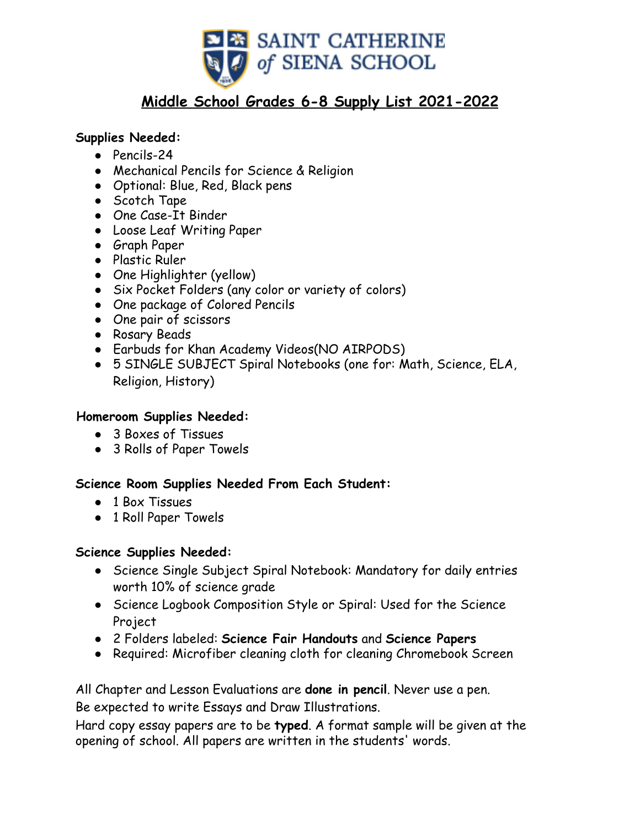

# **Middle School Grades 6-8 Supply List 2021-2022**

### **Supplies Needed:**

- Pencils-24
- Mechanical Pencils for Science & Religion
- Optional: Blue, Red, Black pens
- Scotch Tape
- One Case-It Binder
- Loose Leaf Writing Paper
- Graph Paper
- Plastic Ruler
- One Highlighter (yellow)
- Six Pocket Folders (any color or variety of colors)
- One package of Colored Pencils
- One pair of scissors
- Rosary Beads
- Earbuds for Khan Academy Videos(NO AIRPODS)
- 5 SINGLE SUBJECT Spiral Notebooks (one for: Math, Science, ELA, Religion, History)

#### **Homeroom Supplies Needed:**

- 3 Boxes of Tissues
- 3 Rolls of Paper Towels

#### **Science Room Supplies Needed From Each Student:**

- 1 Box Tissues
- 1 Roll Paper Towels

#### **Science Supplies Needed:**

- Science Single Subject Spiral Notebook: Mandatory for daily entries worth 10% of science grade
- Science Logbook Composition Style or Spiral: Used for the Science Project
- 2 Folders labeled: **Science Fair Handouts** and **Science Papers**
- Required: Microfiber cleaning cloth for cleaning Chromebook Screen

All Chapter and Lesson Evaluations are **done in pencil**. Never use a pen. Be expected to write Essays and Draw Illustrations.

Hard copy essay papers are to be **typed**. A format sample will be given at the opening of school. All papers are written in the students' words.